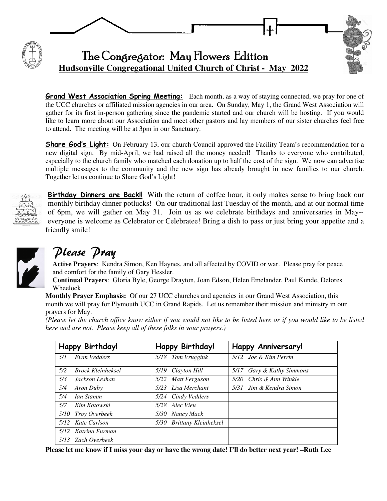

**Grand West Association Spring Meeting:** Each month, as a way of staying connected, we pray for one of the UCC churches or affiliated mission agencies in our area. On Sunday, May 1, the Grand West Association will gather for its first in-person gathering since the pandemic started and our church will be hosting. If you would like to learn more about our Association and meet other pastors and lay members of our sister churches feel free to attend. The meeting will be at 3pm in our Sanctuary.

**Share God's Light:** On February 13, our church Council approved the Facility Team's recommendation for a new digital sign. By mid-April, we had raised all the money needed! Thanks to everyone who contributed, especially to the church family who matched each donation up to half the cost of the sign. We now can advertise multiple messages to the community and the new sign has already brought in new families to our church. Together let us continue to Share God's Light!



Birthday Dinners are Back!!With the return of coffee hour, it only makes sense to bring back our monthly birthday dinner potlucks! On our traditional last Tuesday of the month, and at our normal time of 6pm, we will gather on May 31. Join us as we celebrate birthdays and anniversaries in May- everyone is welcome as Celebrator or Celebratee! Bring a dish to pass or just bring your appetite and a friendly smile!



# Please Pray

**Active Prayers**: Kendra Simon, Ken Haynes, and all affected by COVID or war. Please pray for peace and comfort for the family of Gary Hessler.

**Continual Prayers**: Gloria Byle, George Drayton, Joan Edson, Helen Emelander, Paul Kunde, Delores Wheelock

**Monthly Prayer Emphasis:** Of our 27 UCC churches and agencies in our Grand West Association, this month we will pray for Plymouth UCC in Grand Rapids. Let us remember their mission and ministry in our prayers for May.

*(Please let the church office know either if you would not like to be listed here or if you would like to be listed here and are not. Please keep all of these folks in your prayers.)* 

| Happy Birthday!                 | Happy Birthday!           | <b>Happy Anniversary!</b> |
|---------------------------------|---------------------------|---------------------------|
| Evan Vedders<br>5/1             | 5/18 Tom Vruggink         | 5/12 Joe & Kim Perrin     |
| 5/2<br><b>Brock Kleinheksel</b> | Clayton Hill<br>5/19      | 5/17 Gary & Kathy Simmons |
| 5/3<br>Jackson Leshan           | 5/22 Matt Ferguson        | 5/20 Chris & Ann Winkle   |
| 5/4<br>Aron Duby                | 5/23 Lisa Merchant        | 5/31 Jim & Kendra Simon   |
| 5/4<br>Ian Stamm                | 5/24 Cindy Vedders        |                           |
| 5/7<br>Kim Kotowski             | 5/28 Alec Vieu            |                           |
| 5/10 Troy Overbeek              | Nancy Mack<br>5/30        |                           |
| 5/12 Kate Carlson               | 5/30 Brittany Kleinheksel |                           |
| 5/12 Katrina Furman             |                           |                           |
| 5/13 Zach Overbeek              |                           |                           |

**Please let me know if I miss your day or have the wrong date! I'll do better next year! –Ruth Lee**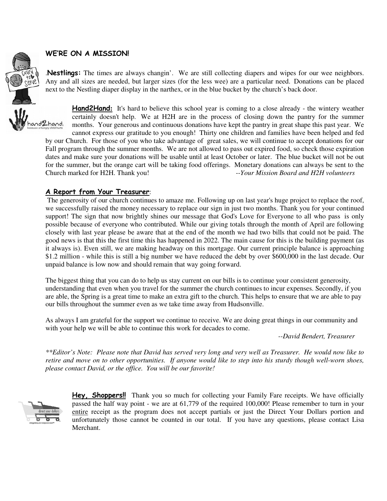#### WE'RE ON A MISSION!

.Nestlings: The times are always changin'. We are still collecting diapers and wipes for our wee neighbors. Any and all sizes are needed, but larger sizes (for the less wee) are a particular need. Donations can be placed next to the Nestling diaper display in the narthex, or in the blue bucket by the church's back door.



Fall program through the summer months. We are not allowed to pass out expired food, so check those expiration dates and make sure your donations will be usable until at least October or later. The blue bucket will not be out for the summer, but the orange cart will be taking food offerings. Monetary donations can always be sent to the Church marked for H2H. Thank you! *--Your Mission Board and H2H volunteers*

### A Report from Your Treasurer:

The generosity of our church continues to amaze me. Following up on last year's huge project to replace the roof, we successfully raised the money necessary to replace our sign in just two months. Thank you for your continued support! The sign that now brightly shines our message that God's Love for Everyone to all who pass is only possible because of everyone who contributed. While our giving totals through the month of April are following closely with last year please be aware that at the end of the month we had two bills that could not be paid. The good news is that this the first time this has happened in 2022. The main cause for this is the building payment (as it always is). Even still, we are making headway on this mortgage. Our current principle balance is approaching \$1.2 million - while this is still a big number we have reduced the debt by over \$600,000 in the last decade. Our unpaid balance is low now and should remain that way going forward.

The biggest thing that you can do to help us stay current on our bills is to continue your consistent generosity, understanding that even when you travel for the summer the church continues to incur expenses. Secondly, if you are able, the Spring is a great time to make an extra gift to the church. This helps to ensure that we are able to pay our bills throughout the summer even as we take time away from Hudsonville.

As always I am grateful for the support we continue to receive. We are doing great things in our community and with your help we will be able to continue this work for decades to come.

*--David Bendert, Treasurer* 

*\*\*Editor's Note: Please note that David has served very long and very well as Treasurer. He would now like to retire and move on to other opportunities. If anyone would like to step into his sturdy though well-worn shoes, please contact David, or the office. You will be our favorite!* 



**Hey, Shoppers!!** Thank you so much for collecting your Family Fare receipts. We have officially passed the half way point - we are at 61,779 of the required 100,000! Please remember to turn in your entire receipt as the program does not accept partials or just the Direct Your Dollars portion and unfortunately those cannot be counted in our total. If you have any questions, please contact Lisa Merchant.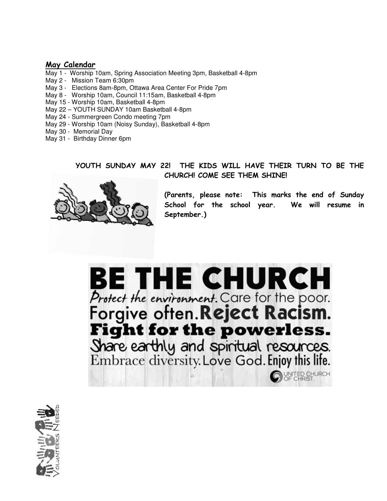## May Calendar

- May 1 Worship 10am, Spring Association Meeting 3pm, Basketball 4-8pm
- May 2 Mission Team 6:30pm
- May 3 Elections 8am-8pm, Ottawa Area Center For Pride 7pm
- May 8 Worship 10am, Council 11:15am, Basketball 4-8pm
- May 15 Worship 10am, Basketball 4-8pm
- May 22 YOUTH SUNDAY 10am Basketball 4-8pm
- May 24 Summergreen Condo meeting 7pm
- May 29 Worship 10am (Noisy Sunday), Basketball 4-8pm
- May 30 Memorial Day
- May 31 Birthday Dinner 6pm

# YOUTH SUNDAY MAY 22! THE KIDS WILL HAVE THEIR TURN TO BE THE CHURCH! COME SEE THEM SHINE!



(Parents, please note: This marks the end of Sunday School for the school year. We will resume in September.)